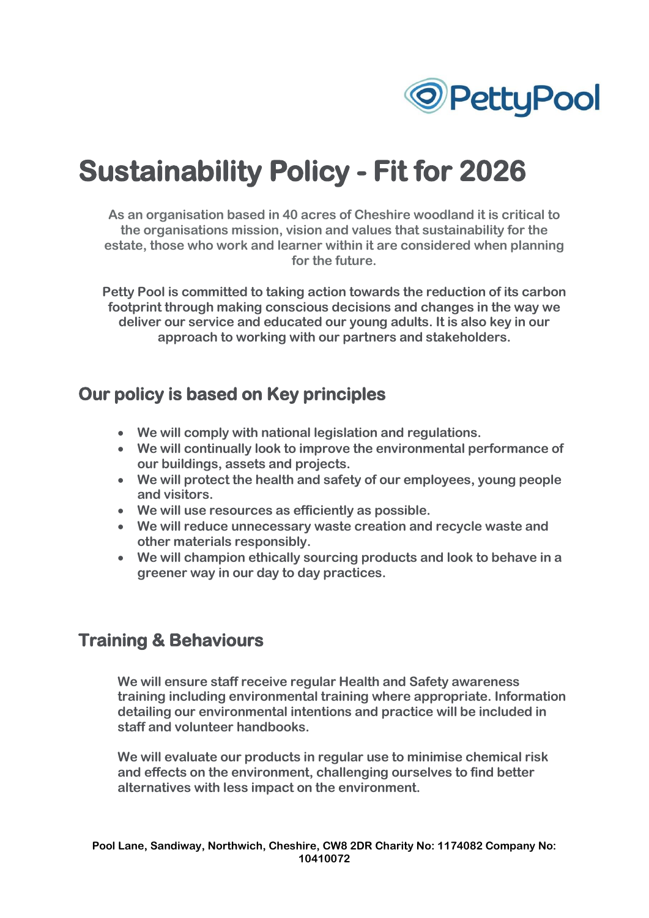

# **Sustainability Policy - Fit for 2026**

**As an organisation based in 40 acres of Cheshire woodland it is critical to the organisations mission, vision and values that sustainability for the estate, those who work and learner within it are considered when planning for the future.**

**Petty Pool is committed to taking action towards the reduction of its carbon footprint through making conscious decisions and changes in the way we deliver our service and educated our young adults. It is also key in our approach to working with our partners and stakeholders.**

### **Our policy is based on Key principles**

- **We will comply with national legislation and regulations.**
- **We will continually look to improve the environmental performance of our buildings, assets and projects.**
- **We will protect the health and safety of our employees, young people and visitors.**
- **We will use resources as efficiently as possible.**
- **We will reduce unnecessary waste creation and recycle waste and other materials responsibly.**
- **We will champion ethically sourcing products and look to behave in a greener way in our day to day practices.**

### **Training & Behaviours**

**We will ensure staff receive regular Health and Safety awareness training including environmental training where appropriate. Information detailing our environmental intentions and practice will be included in staff and volunteer handbooks.**

**We will evaluate our products in regular use to minimise chemical risk and effects on the environment, challenging ourselves to find better alternatives with less impact on the environment.**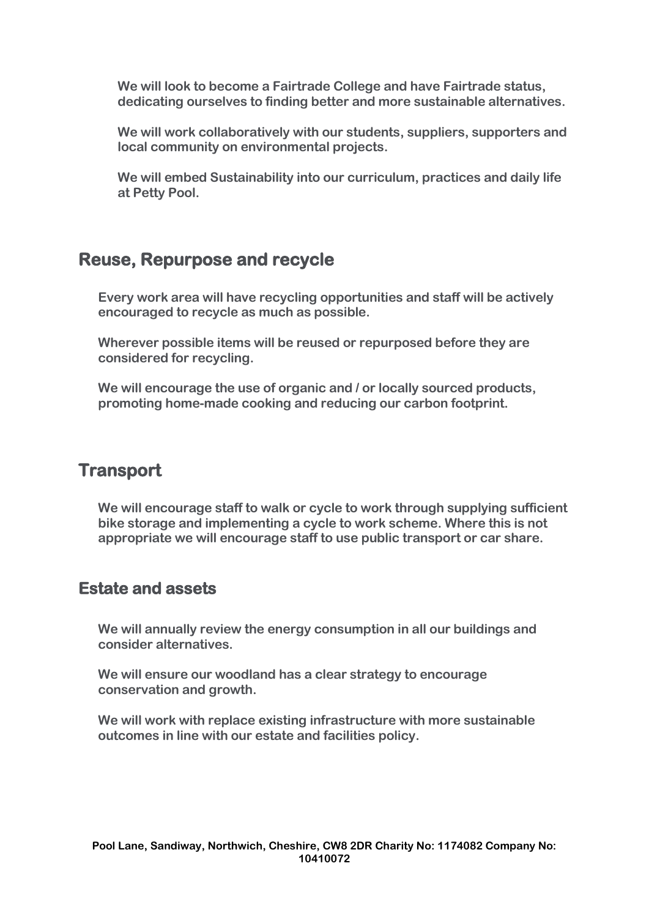**We will look to become a Fairtrade College and have Fairtrade status, dedicating ourselves to finding better and more sustainable alternatives.**

**We will work collaboratively with our students, suppliers, supporters and local community on environmental projects.**

**We will embed Sustainability into our curriculum, practices and daily life at Petty Pool.**

## **Reuse, Repurpose and recycle**

**Every work area will have recycling opportunities and staff will be actively encouraged to recycle as much as possible.**

**Wherever possible items will be reused or repurposed before they are considered for recycling.**

**We will encourage the use of organic and / or locally sourced products, promoting home-made cooking and reducing our carbon footprint.**

# **Transport**

**We will encourage staff to walk or cycle to work through supplying sufficient bike storage and implementing a cycle to work scheme. Where this is not appropriate we will encourage staff to use public transport or car share.**

#### **Estate and assets**

**We will annually review the energy consumption in all our buildings and consider alternatives.**

**We will ensure our woodland has a clear strategy to encourage conservation and growth.**

**We will work with replace existing infrastructure with more sustainable outcomes in line with our estate and facilities policy.**